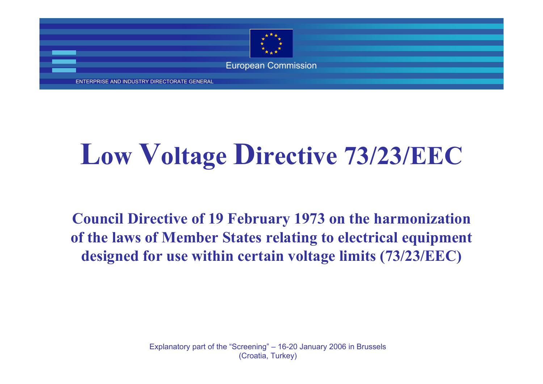

ENTERPRISE AND INDUSTRY DIRECTORATE GENERAL

### **Low Voltage Directive 73/23/EEC**

**Council Directive of 19 February 1973 on the harmonization of the laws of Member States relating to electrical equipment designed for use within certain voltage limits (73/23/EEC)**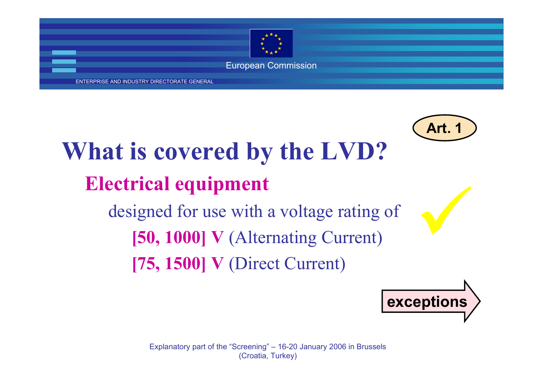

ENTERPRISE AND INDUSTRY DIRECTORATE GENERAL



**[50, 1000] V** (Alternating Current) **[75, 1500] V** (Direct Current)

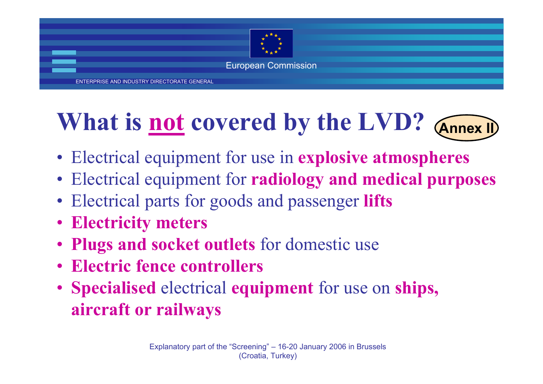

ENTERPRISE AND INDUSTRY DIRECTORATE GENERAL

### **What is not covered by the LVD? Annex I**



- Electrical equipment for use in **explosive atmospheres**
- Electrical equipment for **radiology and medical purposes**
- Electrical parts for goods and passenger **lifts**
- **Electricity meters**
- **Plugs and socket outlets** for domestic use
- **Electric fence controllers**
- **Specialised** electrical **equipment** for use on **ships, aircraft or railways**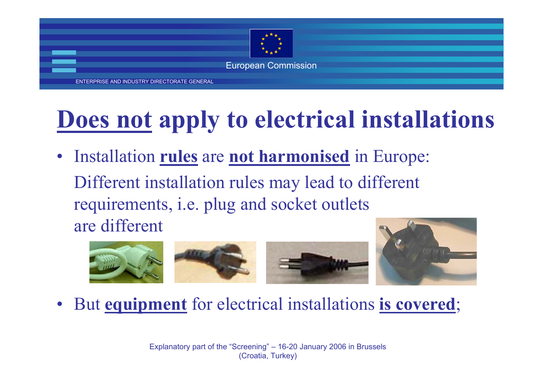

ENTERPRISE AND INDUSTRY DIRECTORATE GENERAL

#### **Does not apply to electrical installations**

• Installation **rules** are **not harmonised** in Europe: Different installation rules may lead to different requirements, i.e. plug and socket outlets are different





•But **equipment** for electrical installations **is covered**;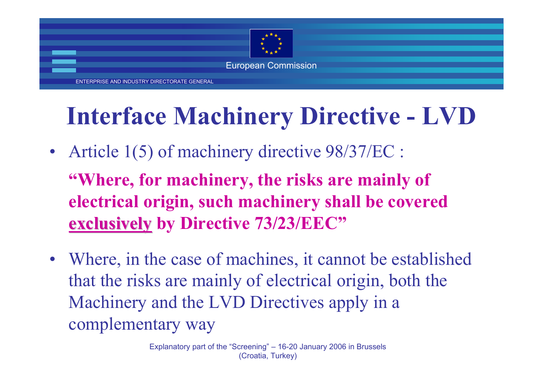

ENTERPRISE AND INDUSTRY DIRECTORATE GENERAL

### **Interface Machinery Directive - LVD**

- • Article 1(5) of machinery directive 98/37/EC : **"Where, for machinery, the risks are mainly of electrical origin, such machinery shall be covered exclusively exclusively by Directive 73/23/EEC"**
- • Where, in the case of machines, it cannot be established that the risks are mainly of electrical origin, both the Machinery and the LVD Directives apply in a complementary way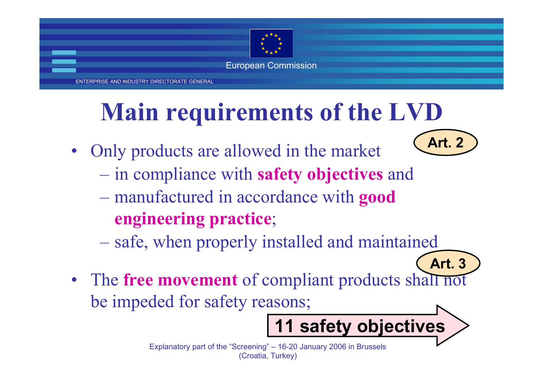

ENTERPRISE AND INDUSTRY DIRECTORATE GENERAL

### **Main requirements of the LVD**

- • Only products are allowed in the market
	- in compliance with **safety objectives** and
	- manufactured in accordance with **good engineering practice**;
	- safe, when properly installed and maintained
- The **free movement** of compliant products shall not be impeded for safety reasons; **Art. 3**

Explanatory part of the "Screening" – 16-20 January 2006 in Brussels (Croatia, Turkey)

**11 safety objectives**

**Art. 2**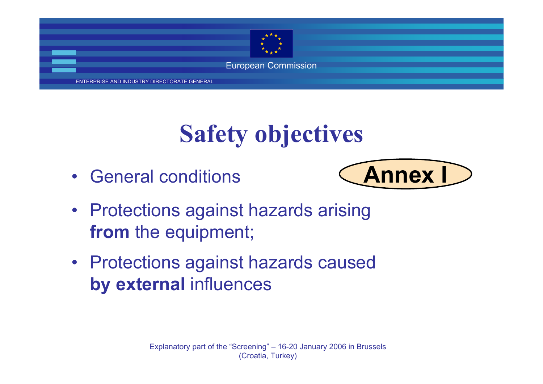

ENTERPRISE AND INDUSTRY DIRECTORATE GENERAL

#### **Safety objectives**

•General conditions



- Protections against hazards arising **from** the equipment;
- Protections against hazards caused **by external** influences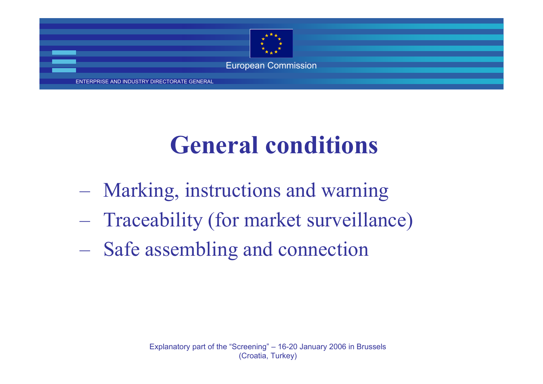

#### **General conditions**

- Marking, instructions and warning
- Traceability (for market surveillance)
- Safe assembling and connection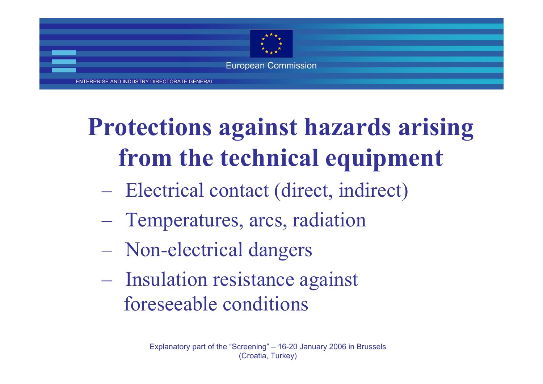

ENTERPRISE AND INDUSTRY DIRECTORATE GENERAL

## **Protections against hazards arising from the technical equipment**

- Electrical contact (direct, indirect)
- Temperatures, arcs, radiation
- Non-electrical dangers
- Insulation resistance against foreseeable conditions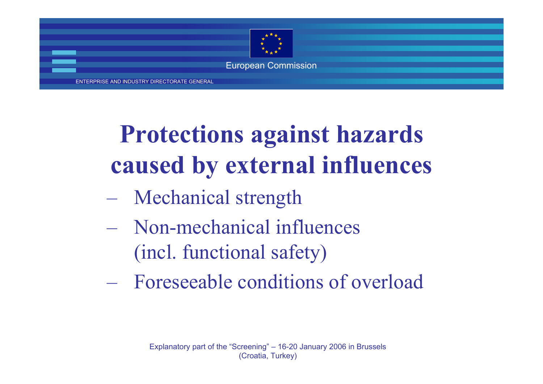

ENTERPRISE AND INDUSTRY DIRECTORATE GENERAL

## **Protections against hazards caused by external influences**

- $\mathcal{L}_{\mathcal{A}}$ Mechanical strength
- Non-mechanical influences (incl. functional safety)
- Foreseeable conditions of overload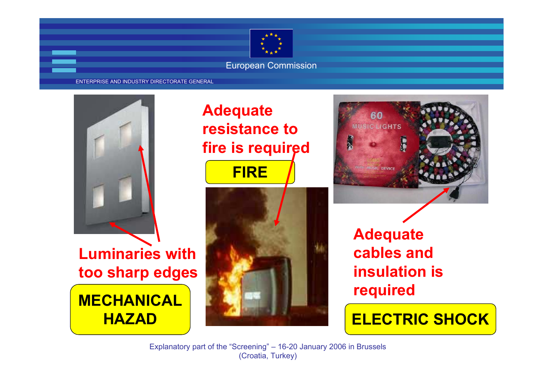

#### ENTERPRISE AND INDUSTRY DIRECTORATE GENERAL



**Luminaries with too sharp edges MECHANICAL**

**HAZAD**

#### **Adequate resistance to fire is required**





**Adequate cables and insulation is required**

**ELECTRIC SHOCK**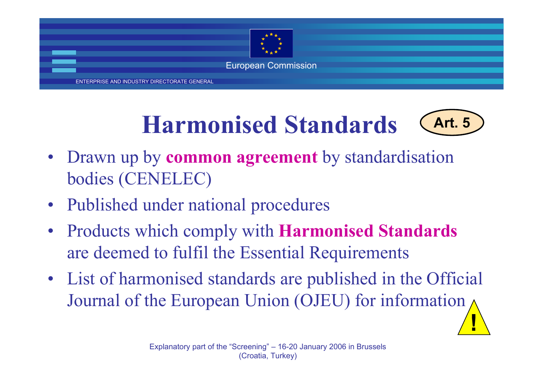

ENTERPRISE AND INDUSTRY DIRECTORATE GENERAL

#### **Harmonised Standards**



**!**

- • Drawn up by **common agreemen<sup>t</sup>** by standardisation bodies (CENELEC)
- •Published under national procedures
- • Products which comply with **Harmonised Standards** are deemed to fulfil the Essential Requirements
- • List of harmonised standards are published in the Official Journal of the European Union (OJEU) for information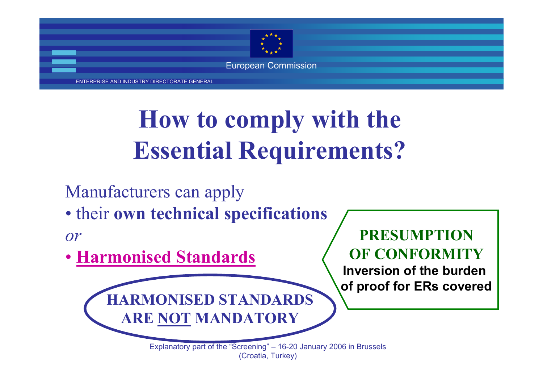

ENTERPRISE AND INDUSTRY DIRECTORATE GENERAL

### **How to comply with the Essential Requirements?**

Manufacturers can apply

• their **own technical specifications**

**HARMONISED STANDARDS**

**ARE NOT MANDATORY**

*or*

• **Harmonised Standards**

#### **PRESUMPTION OF CONFORMITY**

**Inversion of the burden of proof for ERs covered**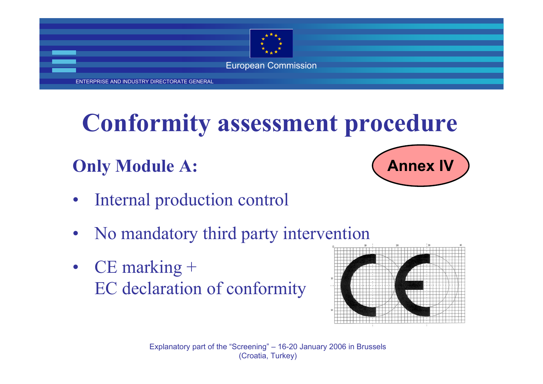

ENTERPRISE AND INDUSTRY DIRECTORATE GENERAL

#### **Conformity assessment procedure**

#### **Only Module A:**



- •Internal production control
- •No mandatory third party intervention
- • CE marking + EC declaration of conformity

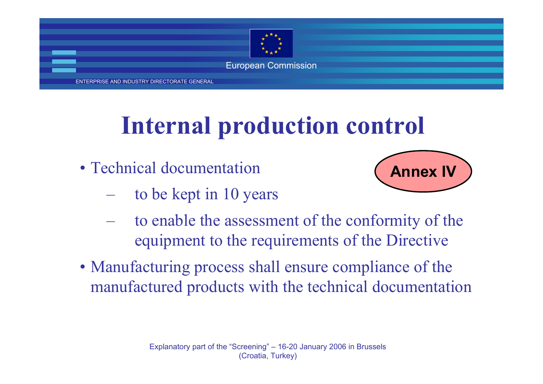

ENTERPRISE AND INDUSTRY DIRECTORATE GENERAL

#### **Internal production control**

- Technical documentation
	- and the contract of the conto be kept in 10 years



- and the contract of the contract of the to enable the assessment of the conformity of the equipment to the requirements of the Directive
- Manufacturing process shall ensure compliance of the manufactured products with the technical documentation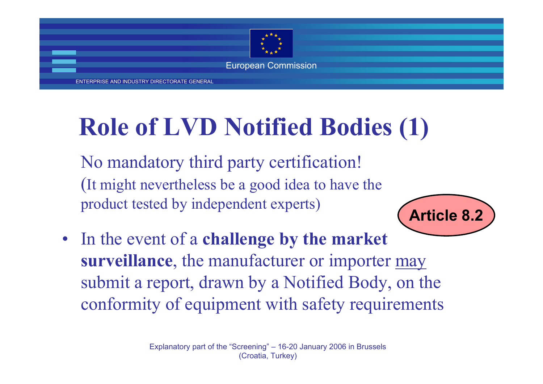

ENTERPRISE AND INDUSTRY DIRECTORATE GENERAL

#### **Role of LVD Notified Bodies (1)**

No mandatory third party certification! (It might nevertheless be a good idea to have the product tested by independent experts)

• In the event of a **challenge by the market surveillance**, the manufacturer or importer may submit a report, drawn by a Notified Body, on the conformity of equipment with safety requirements

**Article 8.2**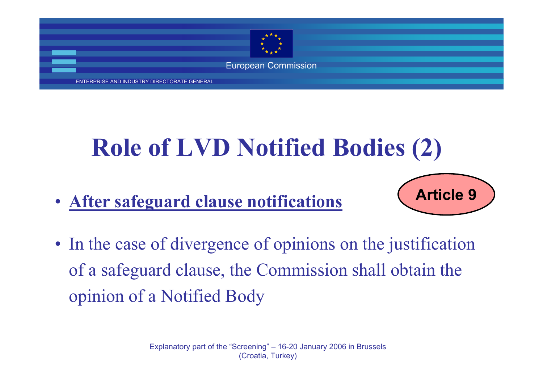

ENTERPRISE AND INDUSTRY DIRECTORATE GENERAL

#### **Role of LVD Notified Bodies (2)**

• **After safeguard clause notifications**



• In the case of divergence of opinions on the justification of a safeguard clause, the Commission shall obtain the opinion of a Notified Body